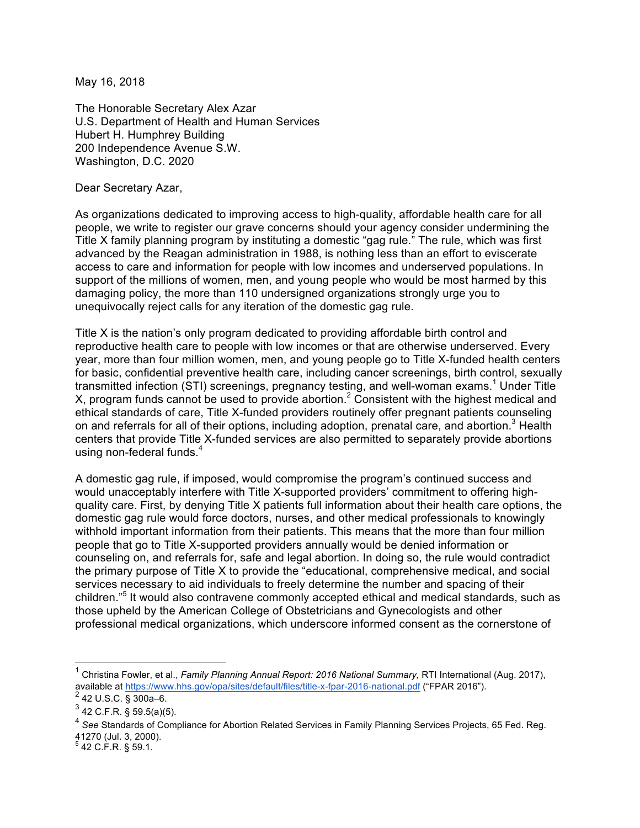May 16, 2018

The Honorable Secretary Alex Azar U.S. Department of Health and Human Services Hubert H. Humphrey Building 200 Independence Avenue S.W. Washington, D.C. 2020

Dear Secretary Azar,

As organizations dedicated to improving access to high-quality, affordable health care for all people, we write to register our grave concerns should your agency consider undermining the Title X family planning program by instituting a domestic "gag rule." The rule, which was first advanced by the Reagan administration in 1988, is nothing less than an effort to eviscerate access to care and information for people with low incomes and underserved populations. In support of the millions of women, men, and young people who would be most harmed by this damaging policy, the more than 110 undersigned organizations strongly urge you to unequivocally reject calls for any iteration of the domestic gag rule.

Title X is the nation's only program dedicated to providing affordable birth control and reproductive health care to people with low incomes or that are otherwise underserved. Every year, more than four million women, men, and young people go to Title X-funded health centers for basic, confidential preventive health care, including cancer screenings, birth control, sexually transmitted infection (STI) screenings, pregnancy testing, and well-woman exams.<sup>1</sup> Under Title X, program funds cannot be used to provide abortion.<sup>2</sup> Consistent with the highest medical and ethical standards of care, Title X-funded providers routinely offer pregnant patients counseling on and referrals for all of their options, including adoption, prenatal care, and abortion.<sup>3</sup> Health centers that provide Title X-funded services are also permitted to separately provide abortions using non-federal funds.<sup>4</sup>

A domestic gag rule, if imposed, would compromise the program's continued success and would unacceptably interfere with Title X-supported providers' commitment to offering highquality care. First, by denying Title X patients full information about their health care options, the domestic gag rule would force doctors, nurses, and other medical professionals to knowingly withhold important information from their patients. This means that the more than four million people that go to Title X-supported providers annually would be denied information or counseling on, and referrals for, safe and legal abortion. In doing so, the rule would contradict the primary purpose of Title X to provide the "educational, comprehensive medical, and social services necessary to aid individuals to freely determine the number and spacing of their children." <sup>5</sup> It would also contravene commonly accepted ethical and medical standards, such as those upheld by the American College of Obstetricians and Gynecologists and other professional medical organizations, which underscore informed consent as the cornerstone of

 <sup>1</sup> Christina Fowler, et al., *Family Planning Annual Report: 2016 National Summary,* RTI International (Aug. 2017), available at https://www.hhs.gov/opa/sites/default/files/title-x-fpar-2016-national.pdf ("FPAR 2016").

 $2$  42 U.S.C. § 300a–6.

 $3$  42 C.F.R. § 59.5(a)(5).

<sup>4</sup> *See* Standards of Compliance for Abortion Related Services in Family Planning Services Projects, 65 Fed. Reg.  $41270$  (Jul. 3, 2000).

<sup>5</sup> 42 C.F.R. § 59.1.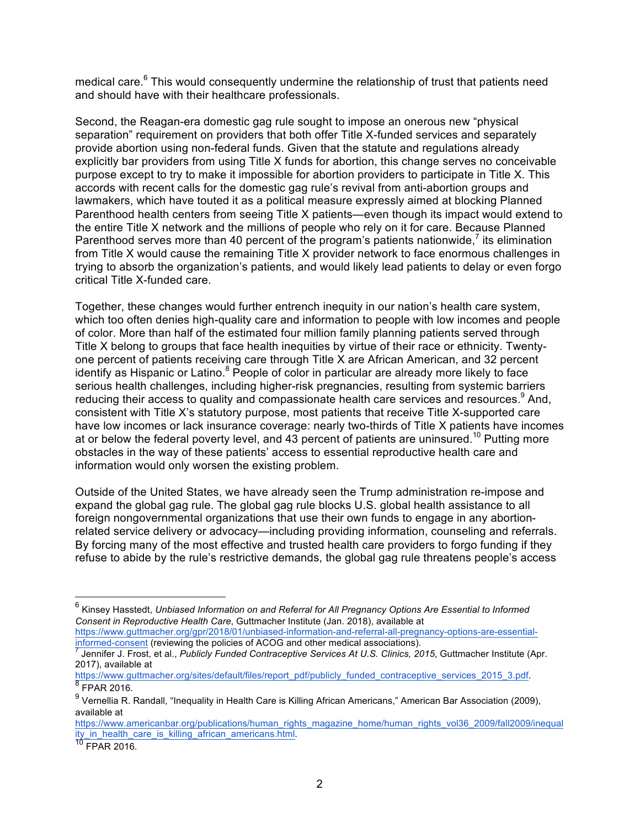medical care.<sup>6</sup> This would consequently undermine the relationship of trust that patients need and should have with their healthcare professionals.

Second, the Reagan-era domestic gag rule sought to impose an onerous new "physical separation" requirement on providers that both offer Title X-funded services and separately provide abortion using non-federal funds. Given that the statute and regulations already explicitly bar providers from using Title X funds for abortion, this change serves no conceivable purpose except to try to make it impossible for abortion providers to participate in Title X. This accords with recent calls for the domestic gag rule's revival from anti-abortion groups and lawmakers, which have touted it as a political measure expressly aimed at blocking Planned Parenthood health centers from seeing Title X patients—even though its impact would extend to the entire Title X network and the millions of people who rely on it for care. Because Planned Parenthood serves more than 40 percent of the program's patients nationwide, $\frac{7}{1}$  its elimination from Title X would cause the remaining Title X provider network to face enormous challenges in trying to absorb the organization's patients, and would likely lead patients to delay or even forgo critical Title X-funded care.

Together, these changes would further entrench inequity in our nation's health care system, which too often denies high-quality care and information to people with low incomes and people of color. More than half of the estimated four million family planning patients served through Title X belong to groups that face health inequities by virtue of their race or ethnicity. Twentyone percent of patients receiving care through Title X are African American, and 32 percent identify as Hispanic or Latino.<sup>8</sup> People of color in particular are already more likely to face serious health challenges, including higher-risk pregnancies, resulting from systemic barriers reducing their access to quality and compassionate health care services and resources.<sup>9</sup> And, consistent with Title X's statutory purpose, most patients that receive Title X-supported care have low incomes or lack insurance coverage: nearly two-thirds of Title X patients have incomes at or below the federal poverty level, and 43 percent of patients are uninsured.<sup>10</sup> Putting more obstacles in the way of these patients' access to essential reproductive health care and information would only worsen the existing problem.

Outside of the United States, we have already seen the Trump administration re-impose and expand the global gag rule. The global gag rule blocks U.S. global health assistance to all foreign nongovernmental organizations that use their own funds to engage in any abortionrelated service delivery or advocacy—including providing information, counseling and referrals. By forcing many of the most effective and trusted health care providers to forgo funding if they refuse to abide by the rule's restrictive demands, the global gag rule threatens people's access

 <sup>6</sup> Kinsey Hasstedt, *Unbiased Information on and Referral for All Pregnancy Options Are Essential to Informed Consent in Reproductive Health Care*, Guttmacher Institute (Jan. 2018), available at

https://www.guttmacher.org/gpr/2018/01/unbiased-information-and-referral-all-pregnancy-options-are-essential-<br>informed-consent (reviewing the policies of ACOG and other medical associations).

Jennifer J. Frost, et al., Publicly Funded Contraceptive Services At U.S. Clinics, 2015, Guttmacher Institute (Apr. 2017), available at

https://www.guttmacher.org/sites/default/files/report\_pdf/publicly\_funded\_contraceptive\_services\_2015\_3.pdf. 8 FPAR 2016.

<sup>&</sup>lt;sup>9</sup> Vernellia R. Randall, "Inequality in Health Care is Killing African Americans," American Bar Association (2009), available at

https://www.americanbar.org/publications/human\_rights\_magazine\_home/human\_rights\_vol36\_2009/fall2009/inequal ity\_in\_health\_care\_is\_killing\_african\_americans.html.<br><sup>10</sup> FPAR 2016.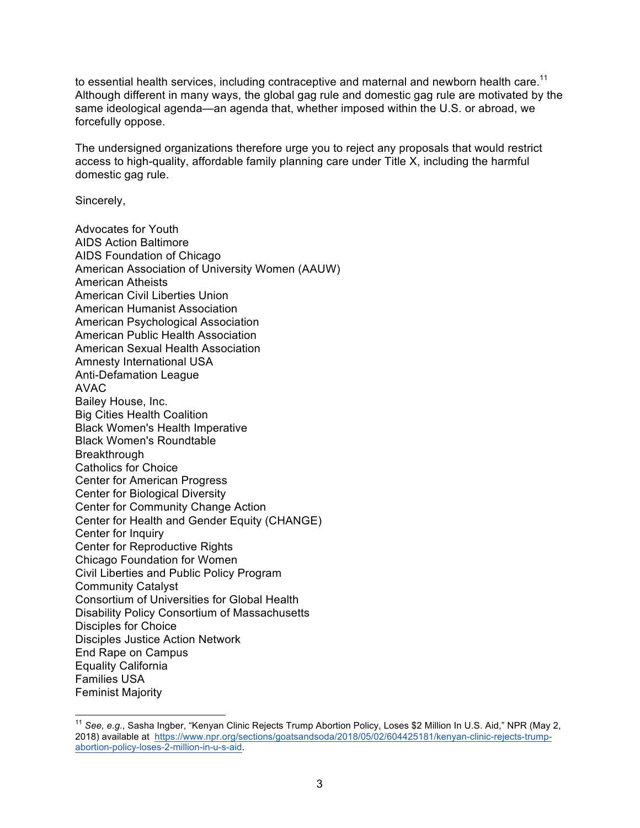to essential health services, including contraceptive and maternal and newborn health care.<sup>11</sup> Although different in many ways, the global gag rule and domestic gag rule are motivated by the same ideological agenda—an agenda that, whether imposed within the U.S. or abroad, we forcefully oppose.

The undersigned organizations therefore urge you to reject any proposals that would restrict access to high-quality, affordable family planning care under Title X, including the harmful domestic gag rule.

Sincerely,

Advocates for Youth AIDS Action Baltimore AIDS Foundation of Chicago American Association of University Women (AAUW) American Atheists American Civil Liberties Union American Humanist Association American Psychological Association American Public Health Association American Sexual Health Association Amnesty International USA Anti-Defamation League AVAC Bailey House, Inc. Big Cities Health Coalition Black Women's Health Imperative Black Women's Roundtable **Breakthrough** Catholics for Choice Center for American Progress Center for Biological Diversity Center for Community Change Action Center for Health and Gender Equity (CHANGE) Center for Inquiry Center for Reproductive Rights Chicago Foundation for Women Civil Liberties and Public Policy Program Community Catalyst Consortium of Universities for Global Health Disability Policy Consortium of Massachusetts Disciples for Choice Disciples Justice Action Network End Rape on Campus Equality California Families USA Feminist Majority

<sup>&</sup>lt;sup>11</sup> See. e.g., Sasha Ingber, "Kenyan Clinic Rejects Trump Abortion Policy, Loses \$2 Million In U.S. Aid," NPR (May 2, 2018) available at https://www.npr.org/sections/goatsandsoda/2018/05/02/604425181/kenyan-clinic-rejects-trumpabortion-policy-loses-2-million-in-u-s-aid.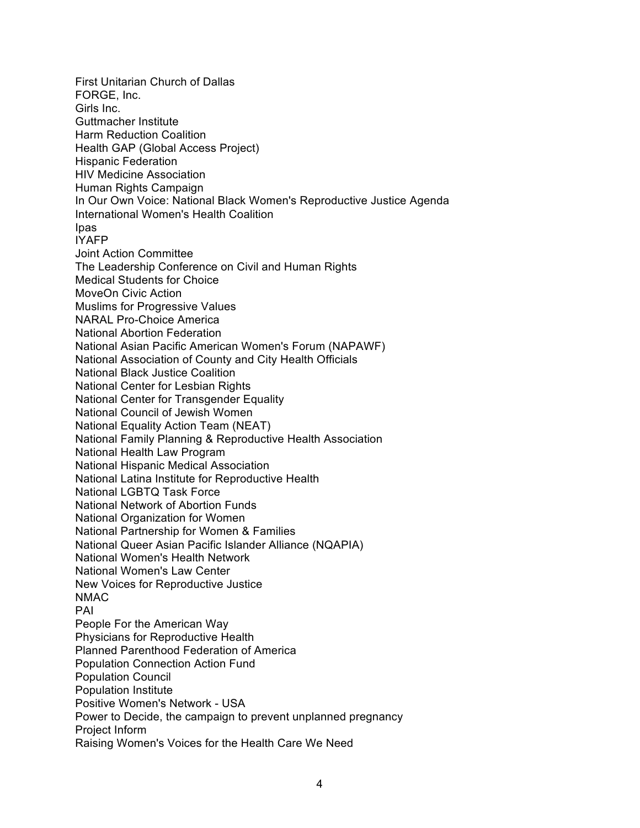First Unitarian Church of Dallas FORGE, Inc. Girls Inc. Guttmacher Institute Harm Reduction Coalition Health GAP (Global Access Project) Hispanic Federation HIV Medicine Association Human Rights Campaign In Our Own Voice: National Black Women's Reproductive Justice Agenda International Women's Health Coalition Ipas IYAFP Joint Action Committee The Leadership Conference on Civil and Human Rights Medical Students for Choice MoveOn Civic Action Muslims for Progressive Values NARAL Pro-Choice America National Abortion Federation National Asian Pacific American Women's Forum (NAPAWF) National Association of County and City Health Officials National Black Justice Coalition National Center for Lesbian Rights National Center for Transgender Equality National Council of Jewish Women National Equality Action Team (NEAT) National Family Planning & Reproductive Health Association National Health Law Program National Hispanic Medical Association National Latina Institute for Reproductive Health National LGBTQ Task Force National Network of Abortion Funds National Organization for Women National Partnership for Women & Families National Queer Asian Pacific Islander Alliance (NQAPIA) National Women's Health Network National Women's Law Center New Voices for Reproductive Justice NMAC PAI People For the American Way Physicians for Reproductive Health Planned Parenthood Federation of America Population Connection Action Fund Population Council Population Institute Positive Women's Network - USA Power to Decide, the campaign to prevent unplanned pregnancy Project Inform Raising Women's Voices for the Health Care We Need